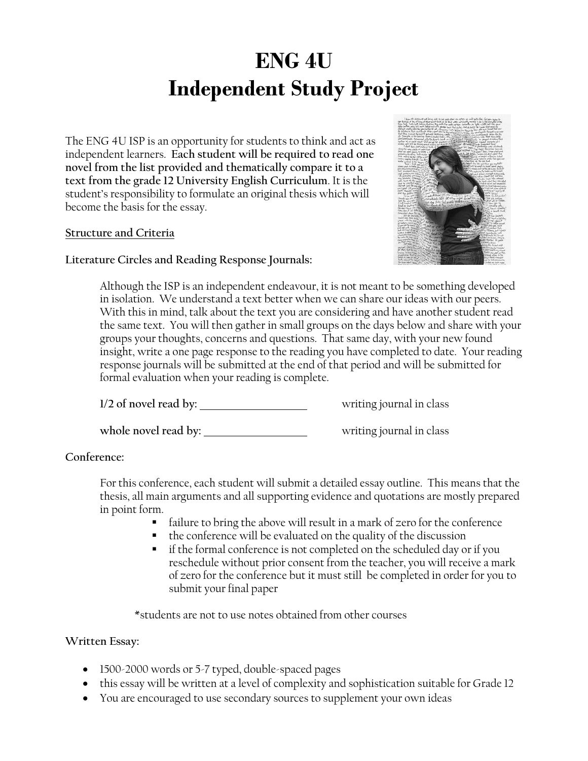# **ENG 4U Independent Study Project**

The ENG 4U ISP is an opportunity for students to think and act as independent learners. **Each student will be required to read one novel from the list provided and thematically compare it to a text from the grade 12 University English Curriculum**. It is the student's responsibility to formulate an original thesis which will become the basis for the essay.

### **Structure and Criteria**

#### **Literature Circles and Reading Response Journals:**



Although the ISP is an independent endeavour, it is not meant to be something developed in isolation. We understand a text better when we can share our ideas with our peers. With this in mind, talk about the text you are considering and have another student read the same text. You will then gather in small groups on the days below and share with your groups your thoughts, concerns and questions. That same day, with your new found insight, write a one page response to the reading you have completed to date. Your reading response journals will be submitted at the end of that period and will be submitted for formal evaluation when your reading is complete.

**1/2 of novel read by:** writing journal in class

whole novel read by: \_\_\_\_\_\_\_\_\_\_\_\_\_\_\_\_\_\_\_\_\_\_\_\_\_\_\_\_\_\_\_\_writing journal in class

# **Conference:**

For this conference, each student will submit a detailed essay outline. This means that the thesis, all main arguments and all supporting evidence and quotations are mostly prepared in point form.

- failure to bring the above will result in a mark of zero for the conference
- the conference will be evaluated on the quality of the discussion
- if the formal conference is not completed on the scheduled day or if you reschedule without prior consent from the teacher, you will receive a mark of zero for the conference but it must still be completed in order for you to submit your final paper

\*students are not to use notes obtained from other courses

# **Written Essay:**

- 1500-2000 words or 5-7 typed, double-spaced pages
- this essay will be written at a level of complexity and sophistication suitable for Grade 12
- You are encouraged to use secondary sources to supplement your own ideas